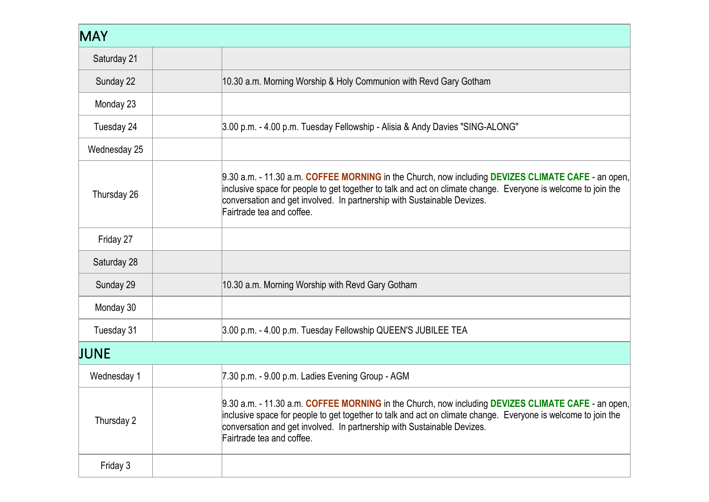| <b>MAY</b>   |                                                                                                                                                                                                                                                                                                                             |  |
|--------------|-----------------------------------------------------------------------------------------------------------------------------------------------------------------------------------------------------------------------------------------------------------------------------------------------------------------------------|--|
| Saturday 21  |                                                                                                                                                                                                                                                                                                                             |  |
| Sunday 22    | 10.30 a.m. Morning Worship & Holy Communion with Revd Gary Gotham                                                                                                                                                                                                                                                           |  |
| Monday 23    |                                                                                                                                                                                                                                                                                                                             |  |
| Tuesday 24   | 3.00 p.m. - 4.00 p.m. Tuesday Fellowship - Alisia & Andy Davies "SING-ALONG"                                                                                                                                                                                                                                                |  |
| Wednesday 25 |                                                                                                                                                                                                                                                                                                                             |  |
| Thursday 26  | 9.30 a.m. - 11.30 a.m. COFFEE MORNING in the Church, now including DEVIZES CLIMATE CAFE - an open,<br>inclusive space for people to get together to talk and act on climate change. Everyone is welcome to join the<br>conversation and get involved. In partnership with Sustainable Devizes.<br>Fairtrade tea and coffee. |  |
| Friday 27    |                                                                                                                                                                                                                                                                                                                             |  |
| Saturday 28  |                                                                                                                                                                                                                                                                                                                             |  |
| Sunday 29    | 10.30 a.m. Morning Worship with Revd Gary Gotham                                                                                                                                                                                                                                                                            |  |
| Monday 30    |                                                                                                                                                                                                                                                                                                                             |  |
| Tuesday 31   | 3.00 p.m. - 4.00 p.m. Tuesday Fellowship QUEEN'S JUBILEE TEA                                                                                                                                                                                                                                                                |  |
| <b>JUNE</b>  |                                                                                                                                                                                                                                                                                                                             |  |
| Wednesday 1  | 7.30 p.m. - 9.00 p.m. Ladies Evening Group - AGM                                                                                                                                                                                                                                                                            |  |
| Thursday 2   | 9.30 a.m. - 11.30 a.m. COFFEE MORNING in the Church, now including DEVIZES CLIMATE CAFE - an open,<br>inclusive space for people to get together to talk and act on climate change. Everyone is welcome to join the<br>conversation and get involved. In partnership with Sustainable Devizes.<br>Fairtrade tea and coffee. |  |
| Friday 3     |                                                                                                                                                                                                                                                                                                                             |  |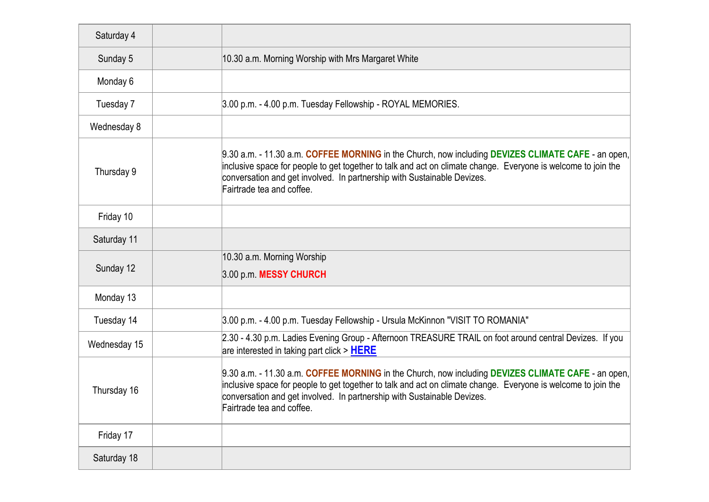| Saturday 4   |                                                                                                                                                                                                                                                                                                                             |
|--------------|-----------------------------------------------------------------------------------------------------------------------------------------------------------------------------------------------------------------------------------------------------------------------------------------------------------------------------|
| Sunday 5     | 10.30 a.m. Morning Worship with Mrs Margaret White                                                                                                                                                                                                                                                                          |
| Monday 6     |                                                                                                                                                                                                                                                                                                                             |
| Tuesday 7    | 3.00 p.m. - 4.00 p.m. Tuesday Fellowship - ROYAL MEMORIES.                                                                                                                                                                                                                                                                  |
| Wednesday 8  |                                                                                                                                                                                                                                                                                                                             |
| Thursday 9   | 9.30 a.m. - 11.30 a.m. COFFEE MORNING in the Church, now including DEVIZES CLIMATE CAFE - an open,<br>inclusive space for people to get together to talk and act on climate change. Everyone is welcome to join the<br>conversation and get involved. In partnership with Sustainable Devizes.<br>Fairtrade tea and coffee. |
| Friday 10    |                                                                                                                                                                                                                                                                                                                             |
| Saturday 11  |                                                                                                                                                                                                                                                                                                                             |
| Sunday 12    | 10.30 a.m. Morning Worship<br>3.00 p.m. MESSY CHURCH                                                                                                                                                                                                                                                                        |
| Monday 13    |                                                                                                                                                                                                                                                                                                                             |
| Tuesday 14   | 3.00 p.m. - 4.00 p.m. Tuesday Fellowship - Ursula McKinnon "VISIT TO ROMANIA"                                                                                                                                                                                                                                               |
| Wednesday 15 | 2.30 - 4.30 p.m. Ladies Evening Group - Afternoon TREASURE TRAIL on foot around central Devizes. If you<br>are interested in taking part click > HERE                                                                                                                                                                       |
| Thursday 16  | 9.30 a.m. - 11.30 a.m. COFFEE MORNING in the Church, now including DEVIZES CLIMATE CAFE - an open,<br>inclusive space for people to get together to talk and act on climate change. Everyone is welcome to join the<br>conversation and get involved. In partnership with Sustainable Devizes.<br>Fairtrade tea and coffee. |
| Friday 17    |                                                                                                                                                                                                                                                                                                                             |
| Saturday 18  |                                                                                                                                                                                                                                                                                                                             |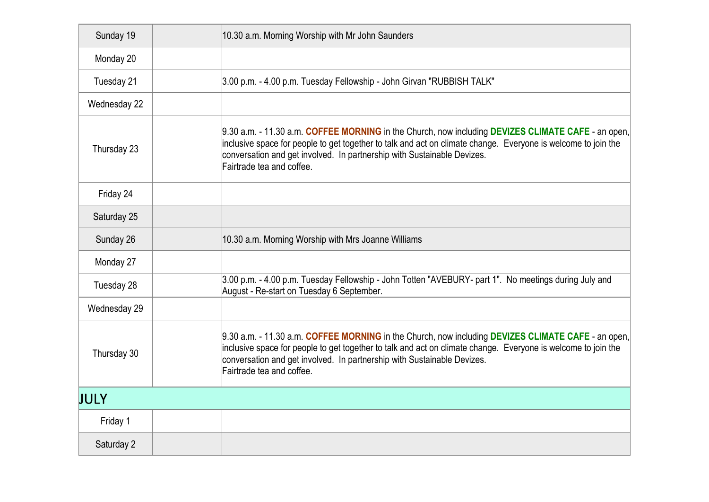| Sunday 19    | 10.30 a.m. Morning Worship with Mr John Saunders                                                                                                                                                                                                                                                                            |
|--------------|-----------------------------------------------------------------------------------------------------------------------------------------------------------------------------------------------------------------------------------------------------------------------------------------------------------------------------|
| Monday 20    |                                                                                                                                                                                                                                                                                                                             |
| Tuesday 21   | 3.00 p.m. - 4.00 p.m. Tuesday Fellowship - John Girvan "RUBBISH TALK"                                                                                                                                                                                                                                                       |
| Wednesday 22 |                                                                                                                                                                                                                                                                                                                             |
| Thursday 23  | 9.30 a.m. - 11.30 a.m. COFFEE MORNING in the Church, now including DEVIZES CLIMATE CAFE - an open,<br>inclusive space for people to get together to talk and act on climate change. Everyone is welcome to join the<br>conversation and get involved. In partnership with Sustainable Devizes.<br>Fairtrade tea and coffee. |
| Friday 24    |                                                                                                                                                                                                                                                                                                                             |
| Saturday 25  |                                                                                                                                                                                                                                                                                                                             |
| Sunday 26    | 10.30 a.m. Morning Worship with Mrs Joanne Williams                                                                                                                                                                                                                                                                         |
| Monday 27    |                                                                                                                                                                                                                                                                                                                             |
| Tuesday 28   | 3.00 p.m. - 4.00 p.m. Tuesday Fellowship - John Totten "AVEBURY- part 1". No meetings during July and<br>August - Re-start on Tuesday 6 September.                                                                                                                                                                          |
| Wednesday 29 |                                                                                                                                                                                                                                                                                                                             |
| Thursday 30  | 9.30 a.m. - 11.30 a.m. COFFEE MORNING in the Church, now including DEVIZES CLIMATE CAFE - an open,<br>inclusive space for people to get together to talk and act on climate change. Everyone is welcome to join the<br>conversation and get involved. In partnership with Sustainable Devizes.<br>Fairtrade tea and coffee. |
| <b>JULY</b>  |                                                                                                                                                                                                                                                                                                                             |
| Friday 1     |                                                                                                                                                                                                                                                                                                                             |
| Saturday 2   |                                                                                                                                                                                                                                                                                                                             |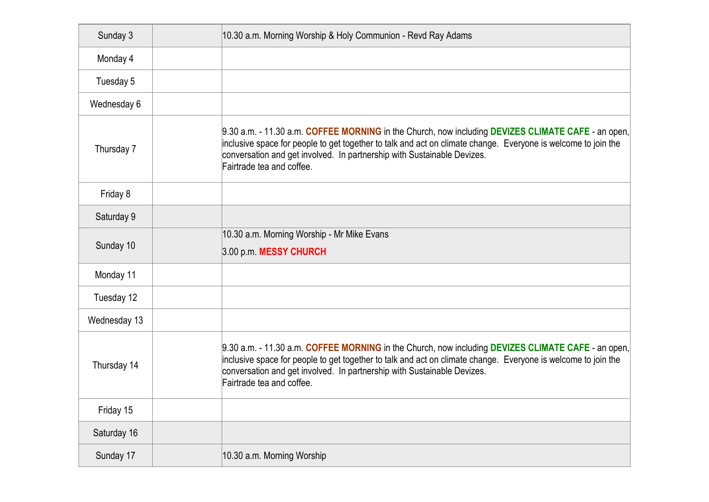| Sunday 3     | 10.30 a.m. Morning Worship & Holy Communion - Revd Ray Adams                                                                                                                                                                                                                                                                |
|--------------|-----------------------------------------------------------------------------------------------------------------------------------------------------------------------------------------------------------------------------------------------------------------------------------------------------------------------------|
| Monday 4     |                                                                                                                                                                                                                                                                                                                             |
| Tuesday 5    |                                                                                                                                                                                                                                                                                                                             |
| Wednesday 6  |                                                                                                                                                                                                                                                                                                                             |
| Thursday 7   | 9.30 a.m. - 11.30 a.m. COFFEE MORNING in the Church, now including DEVIZES CLIMATE CAFE - an open,<br>inclusive space for people to get together to talk and act on climate change. Everyone is welcome to join the<br>conversation and get involved. In partnership with Sustainable Devizes.<br>Fairtrade tea and coffee. |
| Friday 8     |                                                                                                                                                                                                                                                                                                                             |
| Saturday 9   |                                                                                                                                                                                                                                                                                                                             |
| Sunday 10    | 10.30 a.m. Morning Worship - Mr Mike Evans<br>3.00 p.m. MESSY CHURCH                                                                                                                                                                                                                                                        |
| Monday 11    |                                                                                                                                                                                                                                                                                                                             |
| Tuesday 12   |                                                                                                                                                                                                                                                                                                                             |
| Wednesday 13 |                                                                                                                                                                                                                                                                                                                             |
| Thursday 14  | 9.30 a.m. - 11.30 a.m. COFFEE MORNING in the Church, now including DEVIZES CLIMATE CAFE - an open,<br>inclusive space for people to get together to talk and act on climate change. Everyone is welcome to join the<br>conversation and get involved. In partnership with Sustainable Devizes.<br>Fairtrade tea and coffee. |
| Friday 15    |                                                                                                                                                                                                                                                                                                                             |
| Saturday 16  |                                                                                                                                                                                                                                                                                                                             |
| Sunday 17    | 10.30 a.m. Morning Worship                                                                                                                                                                                                                                                                                                  |